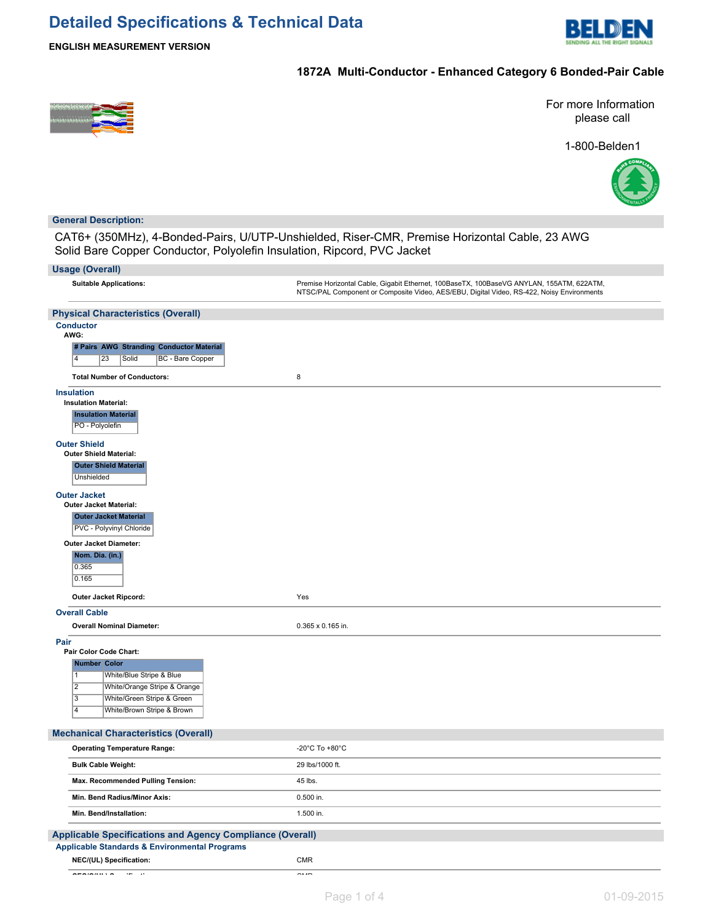

**ENGLISH MEASUREMENT VERSION**

# **1872A Multi-Conductor - Enhanced Category 6 Bonded-Pair Cable**



For more Information please call





### **General Description:**

CAT6+ (350MHz), 4-Bonded-Pairs, U/UTP-Unshielded, Riser-CMR, Premise Horizontal Cable, 23 AWG Solid Bare Copper Conductor, Polyolefin Insulation, Ripcord, PVC Jacket

# **Usage (Overall) Suitable Applications:** Premise Horizontal Cable, Gigabit Ethernet, 100BaseTX, 100BaseVG ANYLAN, 155ATM, 622ATM, NTSC/PAL Component or Composite Video, AES/EBU, Digital Video, RS-422, Noisy Environments **Physical Characteristics (Overall) Conductor AWG: # Pairs AWG Stranding Conductor Material** 4 23 Solid BC - Bare Copper **Total Number of Conductors:** 8 **Insulation Insulation Material: Insulation Material** PO - Polyolefin **Outer Shield Outer Shield Material: Outer Shield Material Unshielded**

# **Outer Jacket**

| <b>UULGI VALNGI</b>              |                          |
|----------------------------------|--------------------------|
| <b>Outer Jacket Material:</b>    |                          |
| <b>Outer Jacket Material</b>     |                          |
| <b>PVC - Polyvinyl Chloride</b>  |                          |
| <b>Outer Jacket Diameter:</b>    |                          |
| Nom. Dia. (in.)                  |                          |
| 0.365                            |                          |
| 0.165                            |                          |
| Outer Jacket Ripcord:            | Yes                      |
| <b>Overall Cable</b>             |                          |
| <b>Overall Nominal Diameter:</b> | $0.365 \times 0.165$ in. |

# **Pair**

| Pair | Pair Color Code Chart: |                              |  |  |  |
|------|------------------------|------------------------------|--|--|--|
|      | <b>Number Color</b>    |                              |  |  |  |
|      | 1                      | White/Blue Stripe & Blue     |  |  |  |
|      | $\overline{2}$         | White/Orange Stripe & Orange |  |  |  |
|      | 3                      | White/Green Stripe & Green   |  |  |  |
|      | 4                      | White/Brown Stripe & Brown   |  |  |  |

### **Mechanical Characteristics (Overall)**

| <b>Operating Temperature Range:</b>                      | -20 $^{\circ}$ C To +80 $^{\circ}$ C |  |  |  |
|----------------------------------------------------------|--------------------------------------|--|--|--|
| <b>Bulk Cable Weight:</b>                                | 29 lbs/1000 ft.                      |  |  |  |
| Max. Recommended Pulling Tension:                        | 45 lbs.                              |  |  |  |
| Min. Bend Radius/Minor Axis:                             | 0.500 in.                            |  |  |  |
| Min. Bend/Installation:                                  | 1.500 in.                            |  |  |  |
| pplicable Specifications and Agency Compliance (Overall) |                                      |  |  |  |
|                                                          |                                      |  |  |  |

### **Applicable Specifications and Agency Compliance (Overall) Applicable Standards & Environmental Programs NEC/(UL) Specification:** CMR

**CEC/C(UL) Specification:** CMR C(UL) Specification: CMR C(UL) Specification: CMR C(UL) Specification: CMR C(UL) Specification: CMR C(UL) Specification: CMR C(UL) Specification: CMR C(UL) Specification: CMR C(UL) Specificat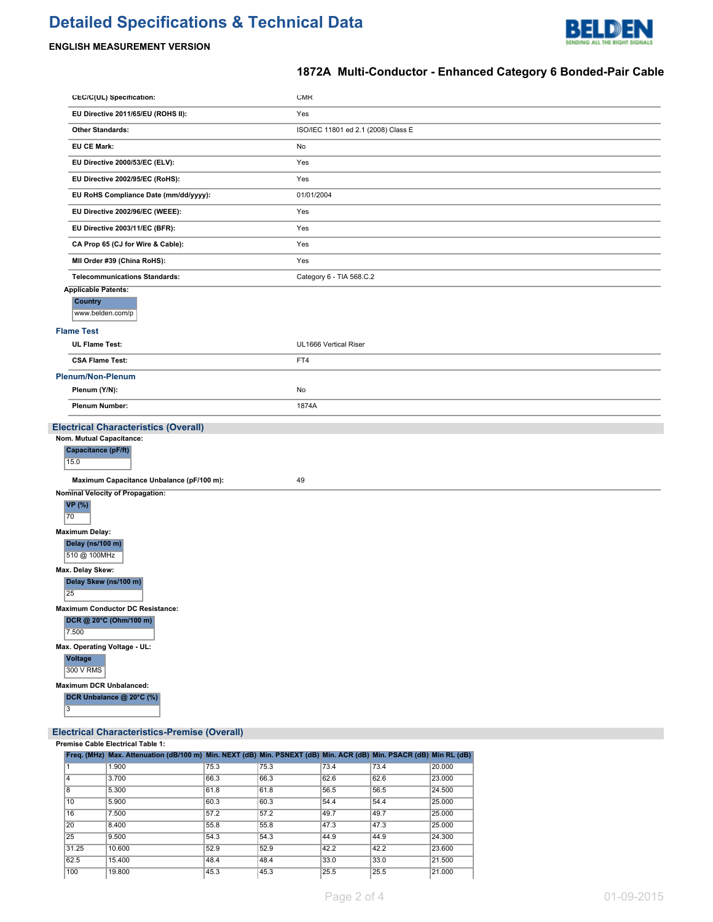# **Detailed Specifications & Technical Data**



# **ENGLISH MEASUREMENT VERSION**

# **1872A Multi-Conductor - Enhanced Category 6 Bonded-Pair Cable**

| CEC/C(UL) Specification:                               | <b>CMR</b>                          |
|--------------------------------------------------------|-------------------------------------|
| EU Directive 2011/65/EU (ROHS II):                     | Yes                                 |
| <b>Other Standards:</b>                                | ISO/IEC 11801 ed 2.1 (2008) Class E |
| <b>EU CE Mark:</b>                                     | No                                  |
| EU Directive 2000/53/EC (ELV):                         | Yes                                 |
| EU Directive 2002/95/EC (RoHS):                        | Yes                                 |
| EU RoHS Compliance Date (mm/dd/yyyy):                  | 01/01/2004                          |
| EU Directive 2002/96/EC (WEEE):                        | Yes                                 |
| EU Directive 2003/11/EC (BFR):                         | Yes                                 |
| CA Prop 65 (CJ for Wire & Cable):                      | Yes                                 |
| MII Order #39 (China RoHS):                            | Yes                                 |
| <b>Telecommunications Standards:</b>                   | Category 6 - TIA 568.C.2            |
| <b>Applicable Patents:</b>                             |                                     |
| <b>Country</b><br>www.belden.com/p                     |                                     |
|                                                        |                                     |
| <b>Flame Test</b><br><b>UL Flame Test:</b>             | UL1666 Vertical Riser               |
| <b>CSA Flame Test:</b>                                 | FT4                                 |
| Plenum/Non-Plenum                                      |                                     |
| Plenum (Y/N):                                          | No                                  |
| <b>Plenum Number:</b>                                  | 1874A                               |
|                                                        |                                     |
|                                                        |                                     |
| <b>Electrical Characteristics (Overall)</b>            |                                     |
| Nom. Mutual Capacitance:<br><b>Capacitance (pF/ft)</b> |                                     |
| 15.0                                                   |                                     |
| Maximum Capacitance Unbalance (pF/100 m):              | 49                                  |
| <b>Nominal Velocity of Propagation:</b>                |                                     |
| <b>VP</b> (%)                                          |                                     |
| 70                                                     |                                     |
| <b>Maximum Delay:</b><br>Delay (ns/100 m)              |                                     |
| 510 @ 100MHz                                           |                                     |
| Max. Delay Skew:                                       |                                     |
| Delay Skew (ns/100 m)<br>25                            |                                     |
| <b>Maximum Conductor DC Resistance:</b>                |                                     |
| DCR @ 20°C (Ohm/100 m)<br>7.500                        |                                     |
| Max. Operating Voltage - UL:                           |                                     |
| Voltage<br>300 V RMS                                   |                                     |
| <b>Maximum DCR Unbalanced:</b>                         |                                     |
| DCR Unbalance @ 20°C (%)                               |                                     |
| 3                                                      |                                     |

# **Electrical Characteristics-Premise (Overall)**

|  |  | Premise Cable Electrical Table 1: |  |  |
|--|--|-----------------------------------|--|--|
|--|--|-----------------------------------|--|--|

|       | Freq. (MHz) Max. Attenuation (dB/100 m) Min. NEXT (dB) Min. PSNEXT (dB) Min. ACR (dB) Min. PSACR (dB) Min RL (dB) |      |      |      |      |        |
|-------|-------------------------------------------------------------------------------------------------------------------|------|------|------|------|--------|
|       | 1.900                                                                                                             | 75.3 | 75.3 | 73.4 | 73.4 | 20,000 |
| 4     | 3.700                                                                                                             | 66.3 | 66.3 | 62.6 | 62.6 | 23.000 |
| 8     | 5.300                                                                                                             | 61.8 | 61.8 | 56.5 | 56.5 | 24.500 |
| 10    | 5.900                                                                                                             | 60.3 | 60.3 | 54.4 | 54.4 | 25,000 |
| 16    | 7.500                                                                                                             | 57.2 | 57.2 | 49.7 | 49.7 | 25.000 |
| 20    | 8.400                                                                                                             | 55.8 | 55.8 | 47.3 | 47.3 | 25.000 |
| 25    | 9.500                                                                                                             | 54.3 | 54.3 | 44.9 | 44.9 | 24.300 |
| 31.25 | 10.600                                                                                                            | 52.9 | 52.9 | 42.2 | 42.2 | 23.600 |
| 62.5  | 15,400                                                                                                            | 48.4 | 48.4 | 33.0 | 33.0 | 21.500 |
| 100   | 19,800                                                                                                            | 45.3 | 45.3 | 25.5 | 25.5 | 21,000 |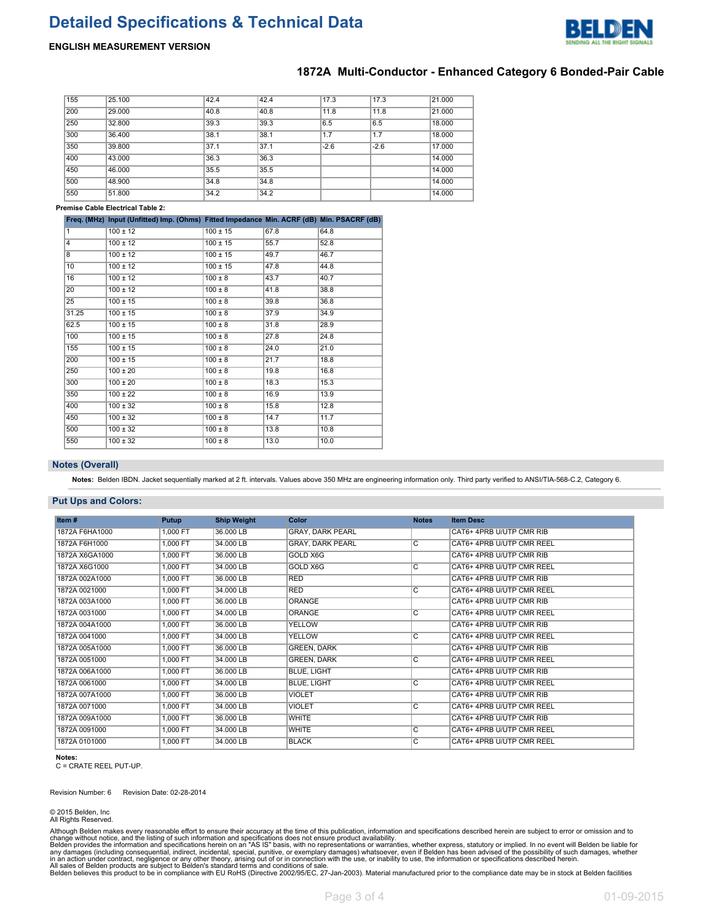# **Detailed Specifications & Technical Data**



## **ENGLISH MEASUREMENT VERSION**

## **1872A Multi-Conductor - Enhanced Category 6 Bonded-Pair Cable**

| 155 | 25.100 | 42.4 | 42.4 | 17.3   | 17.3   | 21,000 |
|-----|--------|------|------|--------|--------|--------|
| 200 | 29,000 | 40.8 | 40.8 | 11.8   | 11.8   | 21.000 |
| 250 | 32,800 | 39.3 | 39.3 | 6.5    | 6.5    | 18,000 |
| 300 | 36,400 | 38.1 | 38.1 | 1.7    | 1.7    | 18,000 |
| 350 | 39,800 | 37.1 | 37.1 | $-2.6$ | $-2.6$ | 17.000 |
| 400 | 43.000 | 36.3 | 36.3 |        |        | 14.000 |
| 450 | 46.000 | 35.5 | 35.5 |        |        | 14.000 |
| 500 | 48.900 | 34.8 | 34.8 |        |        | 14.000 |
| 550 | 51,800 | 34.2 | 34.2 |        |        | 14.000 |

#### **Premise Cable Electrical Table 2:**

|                 | Freq. (MHz) Input (Unfitted) Imp. (Ohms) Fitted Impedance Min. ACRF (dB) Min. PSACRF (dB) |              |      |      |
|-----------------|-------------------------------------------------------------------------------------------|--------------|------|------|
| 1               | $100 \pm 12$                                                                              | $100 \pm 15$ | 67.8 | 64.8 |
| 4               | $100 \pm 12$                                                                              | $100 \pm 15$ | 55.7 | 52.8 |
| $\overline{8}$  | $100 \pm 12$                                                                              | $100 \pm 15$ | 49.7 | 46.7 |
| 10              | $100 \pm 12$                                                                              | $100 \pm 15$ | 47.8 | 44.8 |
| 16              | $100 \pm 12$                                                                              | $100 \pm 8$  | 43.7 | 40.7 |
| 20              | $100 \pm 12$                                                                              | $100 \pm 8$  | 41.8 | 38.8 |
| $\overline{25}$ | $100 \pm 15$                                                                              | $100 \pm 8$  | 39.8 | 36.8 |
| 31.25           | $100 \pm 15$                                                                              | $100 \pm 8$  | 37.9 | 34.9 |
| 62.5            | $100 \pm 15$                                                                              | $100 \pm 8$  | 31.8 | 28.9 |
| 100             | $100 \pm 15$                                                                              | $100 \pm 8$  | 27.8 | 24.8 |
| 155             | $100 \pm 15$                                                                              | $100 \pm 8$  | 24.0 | 21.0 |
| 200             | $100 \pm 15$                                                                              | $100 \pm 8$  | 21.7 | 18.8 |
| 250             | $100 \pm 20$                                                                              | $100 \pm 8$  | 19.8 | 16.8 |
| 300             | $100 \pm 20$                                                                              | $100 \pm 8$  | 18.3 | 15.3 |
| 350             | $100 \pm 22$                                                                              | $100 \pm 8$  | 16.9 | 13.9 |
| 400             | $100 \pm 32$                                                                              | $100 \pm 8$  | 15.8 | 12.8 |
| 450             | $100 \pm 32$                                                                              | $100 \pm 8$  | 14.7 | 11.7 |
| 500             | $100 \pm 32$                                                                              | $100 \pm 8$  | 13.8 | 10.8 |
| 550             | $100 \pm 32$                                                                              | $100 \pm 8$  | 13.0 | 10.0 |

#### **Notes (Overall)**

**Notes:** Belden IBDN. Jacket sequentially marked at 2 ft. intervals. Values above 350 MHz are engineering information only. Third party verified to ANSI/TIA-568-C.2, Category 6.

#### **Put Ups and Colors:**

| Item#          | Putup    | <b>Ship Weight</b> | <b>Color</b>            | <b>Notes</b>            | <b>Item Desc</b>          |
|----------------|----------|--------------------|-------------------------|-------------------------|---------------------------|
| 1872A F6HA1000 | 1,000 FT | 36,000 LB          | <b>GRAY, DARK PEARL</b> |                         | CAT6+ 4PRB U/UTP CMR RIB  |
| 1872A F6H1000  | 1,000 FT | 34,000 LB          | <b>GRAY, DARK PEARL</b> | C                       | CAT6+ 4PRB U/UTP CMR REEL |
| 1872A X6GA1000 | 1,000 FT | 36,000 LB          | GOLD X6G                |                         | CAT6+ 4PRB U/UTP CMR RIB  |
| 1872A X6G1000  | 1.000 FT | 34,000 LB          | <b>GOLD X6G</b>         | $\overline{\mathsf{C}}$ | CAT6+ 4PRB U/UTP CMR REEL |
| 1872A 002A1000 | 1,000 FT | 36,000 LB          | <b>RED</b>              |                         | CAT6+ 4PRB U/UTP CMR RIB  |
| 1872A 0021000  | 1,000 FT | 34,000 LB          | <b>RED</b>              | $\overline{C}$          | CAT6+ 4PRB U/UTP CMR REEL |
| 1872A 003A1000 | 1,000 FT | 36,000 LB          | <b>ORANGE</b>           |                         | CAT6+ 4PRB U/UTP CMR RIB  |
| 1872A 0031000  | 1,000 FT | 34,000 LB          | <b>ORANGE</b>           | C                       | CAT6+ 4PRB U/UTP CMR REEL |
| 1872A 004A1000 | 1,000 FT | 36.000 LB          | <b>YELLOW</b>           |                         | CAT6+ 4PRB U/UTP CMR RIB  |
| 1872A 0041000  | 1.000 FT | 34,000 LB          | <b>YELLOW</b>           | $\overline{\mathsf{C}}$ | CAT6+ 4PRB U/UTP CMR REEL |
| 1872A 005A1000 | 1.000 FT | 36,000 LB          | <b>GREEN, DARK</b>      |                         | CAT6+ 4PRB U/UTP CMR RIB  |
| 1872A 0051000  | 1,000 FT | 34.000 LB          | <b>GREEN, DARK</b>      | $\overline{\mathsf{C}}$ | CAT6+ 4PRB U/UTP CMR REEL |
| 1872A 006A1000 | 1,000 FT | 36.000 LB          | <b>BLUE, LIGHT</b>      |                         | CAT6+ 4PRB U/UTP CMR RIB  |
| 1872A 0061000  | 1.000 FT | 34,000 LB          | <b>BLUE, LIGHT</b>      | lC.                     | CAT6+ 4PRB U/UTP CMR REEL |
| 1872A 007A1000 | 1,000 FT | 36.000 LB          | <b>VIOLET</b>           |                         | CAT6+ 4PRB U/UTP CMR RIB  |
| 1872A 0071000  | 1,000 FT | 34,000 LB          | <b>VIOLET</b>           | $\overline{\mathsf{C}}$ | CAT6+ 4PRB U/UTP CMR REEL |
| 1872A 009A1000 | 1.000 FT | 36,000 LB          | <b>WHITE</b>            |                         | CAT6+ 4PRB U/UTP CMR RIB  |
| 1872A 0091000  | 1,000 FT | 34.000 LB          | <b>WHITE</b>            | C                       | CAT6+ 4PRB U/UTP CMR REEL |
| 1872A 0101000  | 1,000 FT | 34.000 LB          | <b>BLACK</b>            | $\overline{\mathsf{C}}$ | CAT6+ 4PRB U/UTP CMR REEL |

**Notes:** C = CRATE REEL PUT-UP.

Revision Number: 6 Revision Date: 02-28-2014

© 2015 Belden, Inc All Rights Reserved.

Although Belden makes every reasonable effort to ensure their accuracy at the time of this publication, information and specifications described herein are subject to error or omission and to<br>change without notice, and the